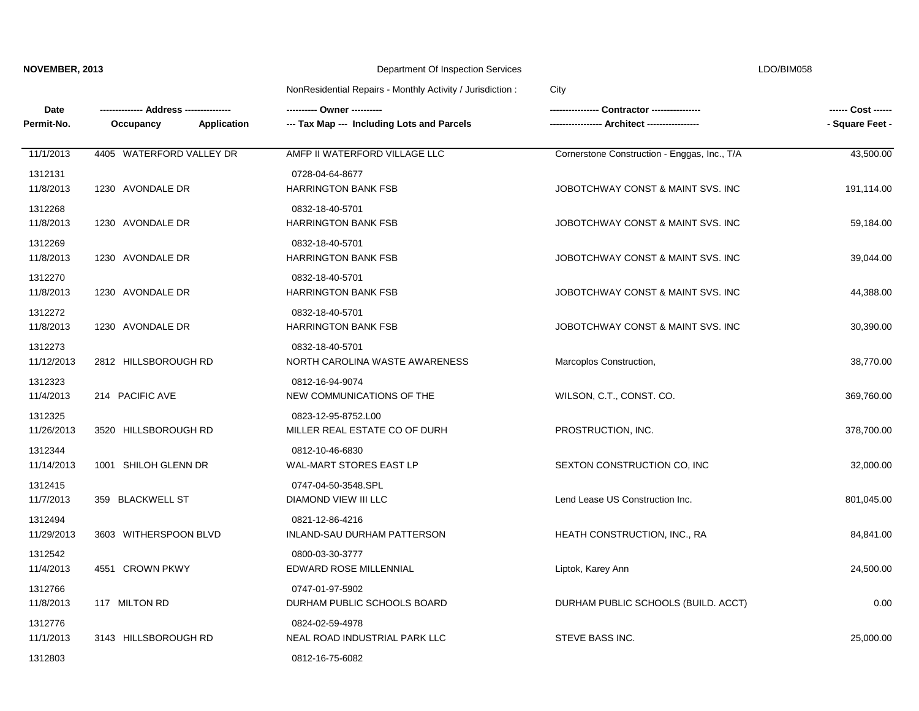LDO/BIM058

| Date<br>Permit-No.    | Occupancy<br>Application | --- Tax Map --- Including Lots and Parcels           | -- Architect ----------------                | ------ Cost ------<br>- Square Feet - |
|-----------------------|--------------------------|------------------------------------------------------|----------------------------------------------|---------------------------------------|
| 11/1/2013             | 4405 WATERFORD VALLEY DR | AMFP II WATERFORD VILLAGE LLC                        | Cornerstone Construction - Enggas, Inc., T/A | 43,500.00                             |
| 1312131<br>11/8/2013  | 1230 AVONDALE DR         | 0728-04-64-8677<br><b>HARRINGTON BANK FSB</b>        | JOBOTCHWAY CONST & MAINT SVS. INC            | 191,114.00                            |
| 1312268<br>11/8/2013  | 1230 AVONDALE DR         | 0832-18-40-5701<br><b>HARRINGTON BANK FSB</b>        | JOBOTCHWAY CONST & MAINT SVS. INC            | 59,184.00                             |
| 1312269<br>11/8/2013  | 1230 AVONDALE DR         | 0832-18-40-5701<br>HARRINGTON BANK FSB               | JOBOTCHWAY CONST & MAINT SVS. INC            | 39,044.00                             |
| 1312270<br>11/8/2013  | 1230 AVONDALE DR         | 0832-18-40-5701<br><b>HARRINGTON BANK FSB</b>        | JOBOTCHWAY CONST & MAINT SVS. INC            | 44,388.00                             |
| 1312272<br>11/8/2013  | 1230 AVONDALE DR         | 0832-18-40-5701<br><b>HARRINGTON BANK FSB</b>        | JOBOTCHWAY CONST & MAINT SVS. INC            | 30,390.00                             |
| 1312273<br>11/12/2013 | 2812 HILLSBOROUGH RD     | 0832-18-40-5701<br>NORTH CAROLINA WASTE AWARENESS    | Marcoplos Construction,                      | 38,770.00                             |
| 1312323<br>11/4/2013  | 214 PACIFIC AVE          | 0812-16-94-9074<br>NEW COMMUNICATIONS OF THE         | WILSON, C.T., CONST. CO.                     | 369,760.00                            |
| 1312325<br>11/26/2013 | 3520 HILLSBOROUGH RD     | 0823-12-95-8752.L00<br>MILLER REAL ESTATE CO OF DURH | PROSTRUCTION, INC.                           | 378,700.00                            |
| 1312344<br>11/14/2013 | 1001 SHILOH GLENN DR     | 0812-10-46-6830<br>WAL-MART STORES EAST LP           | SEXTON CONSTRUCTION CO, INC                  | 32,000.00                             |
| 1312415<br>11/7/2013  | 359 BLACKWELL ST         | 0747-04-50-3548.SPL<br>DIAMOND VIEW III LLC          | Lend Lease US Construction Inc.              | 801,045.00                            |
| 1312494<br>11/29/2013 | 3603 WITHERSPOON BLVD    | 0821-12-86-4216<br>INLAND-SAU DURHAM PATTERSON       | HEATH CONSTRUCTION, INC., RA                 | 84,841.00                             |
| 1312542<br>11/4/2013  | 4551 CROWN PKWY          | 0800-03-30-3777<br>EDWARD ROSE MILLENNIAL            | Liptok, Karey Ann                            | 24,500.00                             |
| 1312766<br>11/8/2013  | 117 MILTON RD            | 0747-01-97-5902<br>DURHAM PUBLIC SCHOOLS BOARD       | DURHAM PUBLIC SCHOOLS (BUILD. ACCT)          | 0.00                                  |
| 1312776<br>11/1/2013  | 3143 HILLSBOROUGH RD     | 0824-02-59-4978<br>NEAL ROAD INDUSTRIAL PARK LLC     | STEVE BASS INC.                              | 25,000.00                             |
| 1312803               |                          | 0812-16-75-6082                                      |                                              |                                       |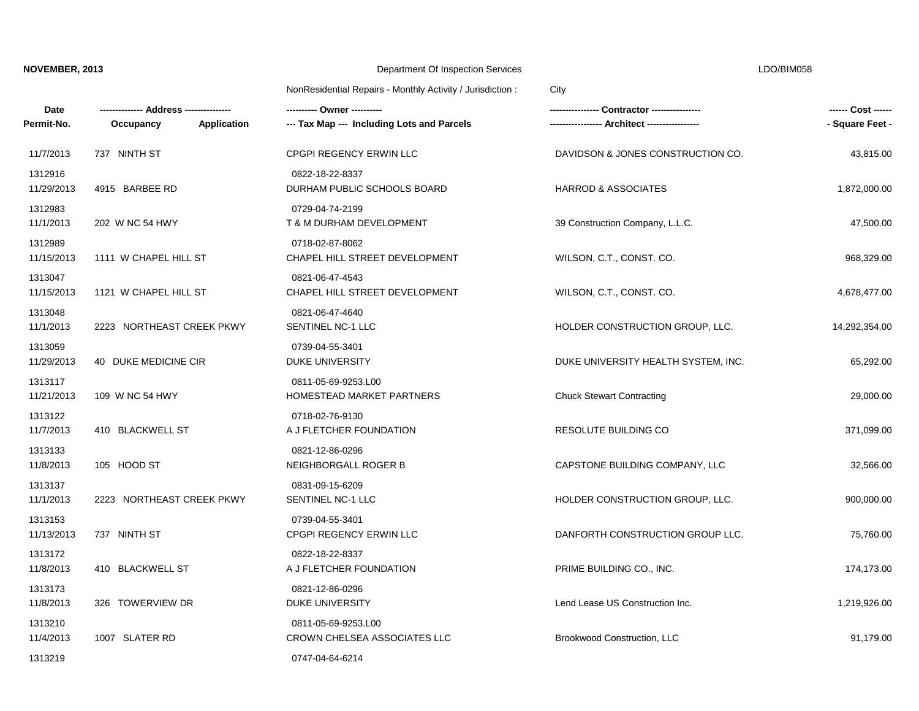LDO/BIM058

| Date<br>Permit-No.    | Application<br>Occupancy  | ---------- Owner ----------<br>--- Tax Map --- Including Lots and Parcels |                                     | ------ Cost ------<br>- Square Feet - |
|-----------------------|---------------------------|---------------------------------------------------------------------------|-------------------------------------|---------------------------------------|
| 11/7/2013             | 737 NINTH ST              | CPGPI REGENCY ERWIN LLC                                                   | DAVIDSON & JONES CONSTRUCTION CO.   | 43,815.00                             |
| 1312916<br>11/29/2013 | 4915 BARBEE RD            | 0822-18-22-8337<br>DURHAM PUBLIC SCHOOLS BOARD                            | <b>HARROD &amp; ASSOCIATES</b>      | 1,872,000.00                          |
| 1312983<br>11/1/2013  | 202 W NC 54 HWY           | 0729-04-74-2199<br>T & M DURHAM DEVELOPMENT                               | 39 Construction Company, L.L.C.     | 47,500.00                             |
| 1312989<br>11/15/2013 | 1111 W CHAPEL HILL ST     | 0718-02-87-8062<br>CHAPEL HILL STREET DEVELOPMENT                         | WILSON, C.T., CONST. CO.            | 968,329.00                            |
| 1313047<br>11/15/2013 | 1121 W CHAPEL HILL ST     | 0821-06-47-4543<br>CHAPEL HILL STREET DEVELOPMENT                         | WILSON, C.T., CONST. CO.            | 4,678,477.00                          |
| 1313048<br>11/1/2013  | 2223 NORTHEAST CREEK PKWY | 0821-06-47-4640<br>SENTINEL NC-1 LLC                                      | HOLDER CONSTRUCTION GROUP, LLC.     | 14,292,354.00                         |
| 1313059<br>11/29/2013 | 40 DUKE MEDICINE CIR      | 0739-04-55-3401<br><b>DUKE UNIVERSITY</b>                                 | DUKE UNIVERSITY HEALTH SYSTEM, INC. | 65,292.00                             |
| 1313117<br>11/21/2013 | 109 W NC 54 HWY           | 0811-05-69-9253.L00<br>HOMESTEAD MARKET PARTNERS                          | <b>Chuck Stewart Contracting</b>    | 29,000.00                             |
| 1313122<br>11/7/2013  | 410 BLACKWELL ST          | 0718-02-76-9130<br>A J FLETCHER FOUNDATION                                | RESOLUTE BUILDING CO                | 371,099.00                            |
| 1313133<br>11/8/2013  | 105 HOOD ST               | 0821-12-86-0296<br>NEIGHBORGALL ROGER B                                   | CAPSTONE BUILDING COMPANY, LLC      | 32,566.00                             |
| 1313137<br>11/1/2013  | 2223 NORTHEAST CREEK PKWY | 0831-09-15-6209<br>SENTINEL NC-1 LLC                                      | HOLDER CONSTRUCTION GROUP, LLC.     | 900,000.00                            |
| 1313153<br>11/13/2013 | 737 NINTH ST              | 0739-04-55-3401<br>CPGPI REGENCY ERWIN LLC                                | DANFORTH CONSTRUCTION GROUP LLC.    | 75,760.00                             |
| 1313172<br>11/8/2013  | 410 BLACKWELL ST          | 0822-18-22-8337<br>A J FLETCHER FOUNDATION                                | PRIME BUILDING CO., INC.            | 174,173.00                            |
| 1313173<br>11/8/2013  | 326 TOWERVIEW DR          | 0821-12-86-0296<br>DUKE UNIVERSITY                                        | Lend Lease US Construction Inc.     | 1,219,926.00                          |
| 1313210<br>11/4/2013  | 1007 SLATER RD            | 0811-05-69-9253.L00<br>CROWN CHELSEA ASSOCIATES LLC                       | Brookwood Construction, LLC         | 91,179.00                             |
| 1313219               |                           | 0747-04-64-6214                                                           |                                     |                                       |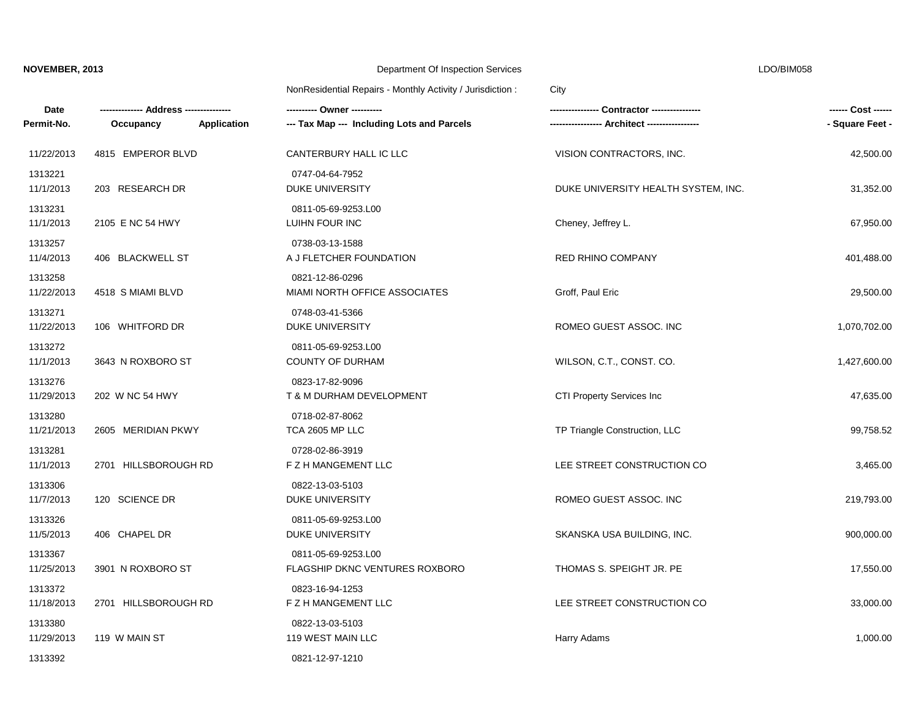LDO/BIM058

| $\sim$ |  |
|--------|--|

| Date                  | --- Address ----------   |                                                       | -- Contractor -----------           | ------ Cost ------ |
|-----------------------|--------------------------|-------------------------------------------------------|-------------------------------------|--------------------|
| Permit-No.            | Occupancy<br>Application | --- Tax Map --- Including Lots and Parcels            |                                     | - Square Feet -    |
| 11/22/2013            | 4815 EMPEROR BLVD        | CANTERBURY HALL IC LLC                                | VISION CONTRACTORS, INC.            | 42,500.00          |
| 1313221<br>11/1/2013  | 203 RESEARCH DR          | 0747-04-64-7952<br><b>DUKE UNIVERSITY</b>             | DUKE UNIVERSITY HEALTH SYSTEM, INC. | 31,352.00          |
| 1313231<br>11/1/2013  | 2105 E NC 54 HWY         | 0811-05-69-9253.L00<br>LUIHN FOUR INC                 | Cheney, Jeffrey L.                  | 67,950.00          |
| 1313257<br>11/4/2013  | 406 BLACKWELL ST         | 0738-03-13-1588<br>A J FLETCHER FOUNDATION            | <b>RED RHINO COMPANY</b>            | 401,488.00         |
| 1313258<br>11/22/2013 | 4518 S MIAMI BLVD        | 0821-12-86-0296<br>MIAMI NORTH OFFICE ASSOCIATES      | Groff, Paul Eric                    | 29,500.00          |
| 1313271<br>11/22/2013 | 106 WHITFORD DR          | 0748-03-41-5366<br><b>DUKE UNIVERSITY</b>             | ROMEO GUEST ASSOC. INC              | 1,070,702.00       |
| 1313272<br>11/1/2013  | 3643 N ROXBORO ST        | 0811-05-69-9253.L00<br><b>COUNTY OF DURHAM</b>        | WILSON, C.T., CONST. CO.            | 1,427,600.00       |
| 1313276<br>11/29/2013 | 202 W NC 54 HWY          | 0823-17-82-9096<br>T & M DURHAM DEVELOPMENT           | CTI Property Services Inc           | 47,635.00          |
| 1313280<br>11/21/2013 | 2605 MERIDIAN PKWY       | 0718-02-87-8062<br>TCA 2605 MP LLC                    | TP Triangle Construction, LLC       | 99,758.52          |
| 1313281<br>11/1/2013  | 2701 HILLSBOROUGH RD     | 0728-02-86-3919<br>F Z H MANGEMENT LLC                | LEE STREET CONSTRUCTION CO          | 3,465.00           |
| 1313306<br>11/7/2013  | 120 SCIENCE DR           | 0822-13-03-5103<br>DUKE UNIVERSITY                    | ROMEO GUEST ASSOC. INC              | 219,793.00         |
| 1313326<br>11/5/2013  | 406 CHAPEL DR            | 0811-05-69-9253.L00<br>DUKE UNIVERSITY                | SKANSKA USA BUILDING, INC.          | 900,000.00         |
| 1313367<br>11/25/2013 | 3901 N ROXBORO ST        | 0811-05-69-9253.L00<br>FLAGSHIP DKNC VENTURES ROXBORO | THOMAS S. SPEIGHT JR. PE            | 17,550.00          |
| 1313372<br>11/18/2013 | 2701 HILLSBOROUGH RD     | 0823-16-94-1253<br>F Z H MANGEMENT LLC                | LEE STREET CONSTRUCTION CO          | 33,000.00          |
| 1313380<br>11/29/2013 | 119 W MAIN ST            | 0822-13-03-5103<br>119 WEST MAIN LLC                  | Harry Adams                         | 1,000.00           |
| 1313392               |                          | 0821-12-97-1210                                       |                                     |                    |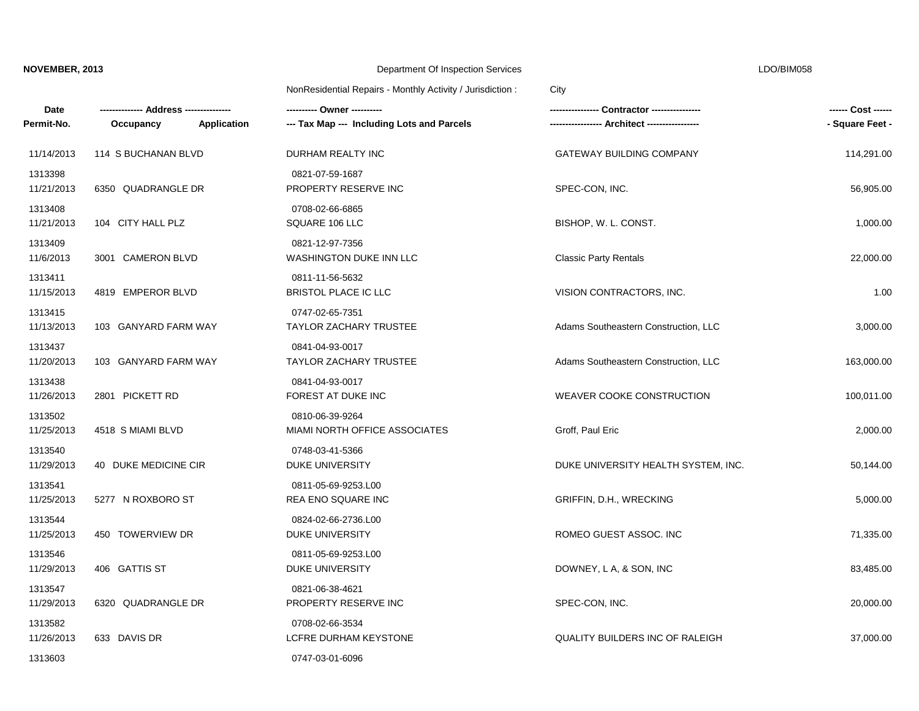LDO/BIM058

| $\sim$ |  |  |
|--------|--|--|

| Date                  |                          |                                                  |                                        | ------ Cost ------ |
|-----------------------|--------------------------|--------------------------------------------------|----------------------------------------|--------------------|
| Permit-No.            | Application<br>Occupancy | --- Tax Map --- Including Lots and Parcels       | Architect -----------------            | - Square Feet -    |
| 11/14/2013            | 114 S BUCHANAN BLVD      | DURHAM REALTY INC                                | <b>GATEWAY BUILDING COMPANY</b>        | 114,291.00         |
| 1313398<br>11/21/2013 | 6350 QUADRANGLE DR       | 0821-07-59-1687<br>PROPERTY RESERVE INC          | SPEC-CON, INC.                         | 56,905.00          |
| 1313408<br>11/21/2013 | 104 CITY HALL PLZ        | 0708-02-66-6865<br>SQUARE 106 LLC                | BISHOP, W. L. CONST.                   | 1,000.00           |
| 1313409<br>11/6/2013  | 3001 CAMERON BLVD        | 0821-12-97-7356<br>WASHINGTON DUKE INN LLC       | <b>Classic Party Rentals</b>           | 22,000.00          |
| 1313411<br>11/15/2013 | 4819 EMPEROR BLVD        | 0811-11-56-5632<br>BRISTOL PLACE IC LLC          | VISION CONTRACTORS, INC.               | 1.00               |
| 1313415<br>11/13/2013 | 103 GANYARD FARM WAY     | 0747-02-65-7351<br><b>TAYLOR ZACHARY TRUSTEE</b> | Adams Southeastern Construction, LLC   | 3,000.00           |
| 1313437<br>11/20/2013 | 103 GANYARD FARM WAY     | 0841-04-93-0017<br><b>TAYLOR ZACHARY TRUSTEE</b> | Adams Southeastern Construction, LLC   | 163,000.00         |
| 1313438<br>11/26/2013 | 2801 PICKETT RD          | 0841-04-93-0017<br>FOREST AT DUKE INC            | WEAVER COOKE CONSTRUCTION              | 100,011.00         |
| 1313502<br>11/25/2013 | 4518 S MIAMI BLVD        | 0810-06-39-9264<br>MIAMI NORTH OFFICE ASSOCIATES | Groff, Paul Eric                       | 2,000.00           |
| 1313540<br>11/29/2013 | 40 DUKE MEDICINE CIR     | 0748-03-41-5366<br>DUKE UNIVERSITY               | DUKE UNIVERSITY HEALTH SYSTEM, INC.    | 50,144.00          |
| 1313541<br>11/25/2013 | 5277 N ROXBORO ST        | 0811-05-69-9253.L00<br>REA ENO SQUARE INC        | GRIFFIN, D.H., WRECKING                | 5,000.00           |
| 1313544<br>11/25/2013 | 450 TOWERVIEW DR         | 0824-02-66-2736.L00<br><b>DUKE UNIVERSITY</b>    | ROMEO GUEST ASSOC. INC                 | 71,335.00          |
| 1313546<br>11/29/2013 | 406 GATTIS ST            | 0811-05-69-9253.L00<br>DUKE UNIVERSITY           | DOWNEY, L A, & SON, INC                | 83,485.00          |
| 1313547<br>11/29/2013 | 6320 QUADRANGLE DR       | 0821-06-38-4621<br>PROPERTY RESERVE INC          | SPEC-CON, INC.                         | 20,000.00          |
| 1313582<br>11/26/2013 | 633 DAVIS DR             | 0708-02-66-3534<br>LCFRE DURHAM KEYSTONE         | <b>QUALITY BUILDERS INC OF RALEIGH</b> | 37,000.00          |
| 1313603               |                          | 0747-03-01-6096                                  |                                        |                    |